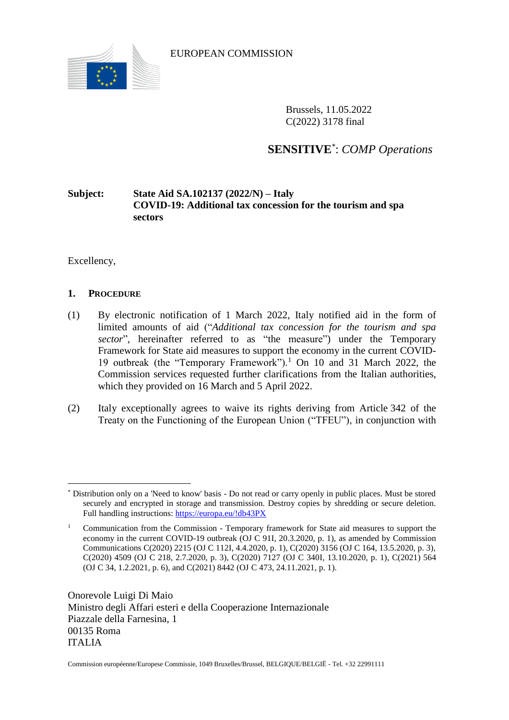

EUROPEAN COMMISSION

Brussels, 11.05.2022 C(2022) 3178 final

# **SENSITIVE**\* : *COMP Operations*

# **Subject: State Aid SA.102137 (2022/N) – Italy COVID-19: Additional tax concession for the tourism and spa sectors**

Excellency,

# **1. PROCEDURE**

- (1) By electronic notification of 1 March 2022, Italy notified aid in the form of limited amounts of aid ("*Additional tax concession for the tourism and spa sector*", hereinafter referred to as "the measure") under the Temporary Framework for State aid measures to support the economy in the current COVID-19 outbreak (the "Temporary Framework").<sup>1</sup> On 10 and 31 March 2022, the Commission services requested further clarifications from the Italian authorities, which they provided on 16 March and 5 April 2022.
- (2) Italy exceptionally agrees to waive its rights deriving from Article 342 of the Treaty on the Functioning of the European Union ("TFEU"), in conjunction with

Onorevole Luigi Di Maio Ministro degli Affari esteri e della Cooperazione Internazionale Piazzale della Farnesina, 1 00135 Roma ITALIA

 $\overline{a}$ \* Distribution only on a 'Need to know' basis - Do not read or carry openly in public places. Must be stored securely and encrypted in storage and transmission. Destroy copies by shredding or secure deletion. Full handling instructions:<https://europa.eu/!db43PX>

<sup>&</sup>lt;sup>1</sup> Communication from the Commission - Temporary framework for State aid measures to support the economy in the current COVID-19 outbreak (OJ C 91I, 20.3.2020, p. 1), as amended by Commission Communications C(2020) 2215 (OJ C 112I, 4.4.2020, p. 1), C(2020) 3156 (OJ C 164, 13.5.2020, p. 3), C(2020) 4509 (OJ C 218, 2.7.2020, p. 3), C(2020) 7127 (OJ C 340I, 13.10.2020, p. 1), C(2021) 564 (OJ C 34, 1.2.2021, p. 6), and C(2021) 8442 (OJ C 473, 24.11.2021, p. 1).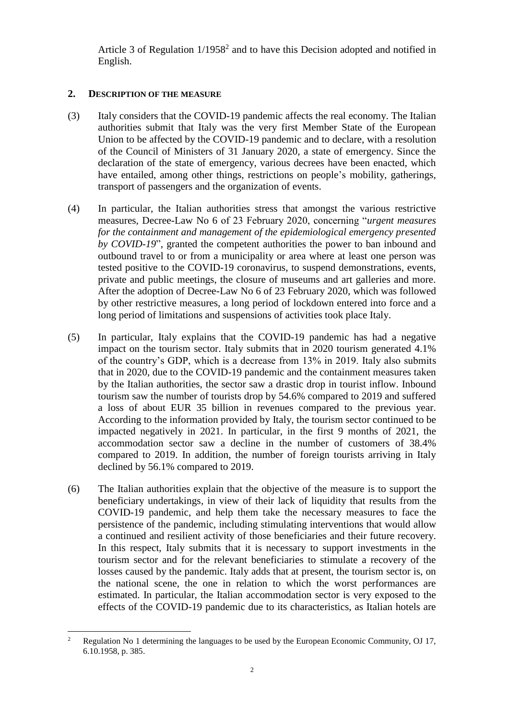Article 3 of Regulation  $1/1958<sup>2</sup>$  and to have this Decision adopted and notified in English.

## **2. DESCRIPTION OF THE MEASURE**

- (3) Italy considers that the COVID-19 pandemic affects the real economy. The Italian authorities submit that Italy was the very first Member State of the European Union to be affected by the COVID-19 pandemic and to declare, with a resolution of the Council of Ministers of 31 January 2020, a state of emergency. Since the declaration of the state of emergency, various decrees have been enacted, which have entailed, among other things, restrictions on people's mobility, gatherings, transport of passengers and the organization of events.
- (4) In particular, the Italian authorities stress that amongst the various restrictive measures, Decree-Law No 6 of 23 February 2020, concerning "*urgent measures for the containment and management of the epidemiological emergency presented by COVID-19*", granted the competent authorities the power to ban inbound and outbound travel to or from a municipality or area where at least one person was tested positive to the COVID-19 coronavirus, to suspend demonstrations, events, private and public meetings, the closure of museums and art galleries and more. After the adoption of Decree-Law No 6 of 23 February 2020, which was followed by other restrictive measures, a long period of lockdown entered into force and a long period of limitations and suspensions of activities took place Italy.
- (5) In particular, Italy explains that the COVID-19 pandemic has had a negative impact on the tourism sector. Italy submits that in 2020 tourism generated 4.1% of the country's GDP, which is a decrease from 13% in 2019. Italy also submits that in 2020, due to the COVID-19 pandemic and the containment measures taken by the Italian authorities, the sector saw a drastic drop in tourist inflow. Inbound tourism saw the number of tourists drop by 54.6% compared to 2019 and suffered a loss of about EUR 35 billion in revenues compared to the previous year. According to the information provided by Italy, the tourism sector continued to be impacted negatively in 2021. In particular, in the first 9 months of 2021, the accommodation sector saw a decline in the number of customers of 38.4% compared to 2019. In addition, the number of foreign tourists arriving in Italy declined by 56.1% compared to 2019.
- (6) The Italian authorities explain that the objective of the measure is to support the beneficiary undertakings, in view of their lack of liquidity that results from the COVID-19 pandemic, and help them take the necessary measures to face the persistence of the pandemic, including stimulating interventions that would allow a continued and resilient activity of those beneficiaries and their future recovery. In this respect, Italy submits that it is necessary to support investments in the tourism sector and for the relevant beneficiaries to stimulate a recovery of the losses caused by the pandemic. Italy adds that at present, the tourism sector is, on the national scene, the one in relation to which the worst performances are estimated. In particular, the Italian accommodation sector is very exposed to the effects of the COVID-19 pandemic due to its characteristics, as Italian hotels are

 $\overline{2}$ <sup>2</sup> Regulation No 1 determining the languages to be used by the European Economic Community, OJ 17, 6.10.1958, p. 385.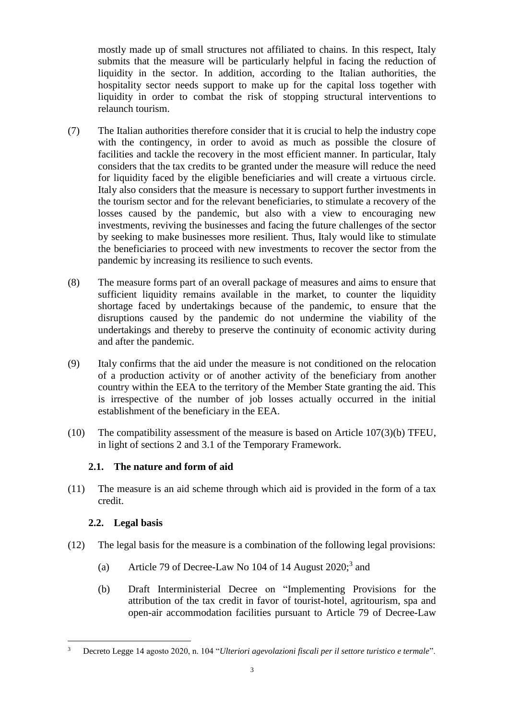mostly made up of small structures not affiliated to chains. In this respect, Italy submits that the measure will be particularly helpful in facing the reduction of liquidity in the sector. In addition, according to the Italian authorities, the hospitality sector needs support to make up for the capital loss together with liquidity in order to combat the risk of stopping structural interventions to relaunch tourism.

- (7) The Italian authorities therefore consider that it is crucial to help the industry cope with the contingency, in order to avoid as much as possible the closure of facilities and tackle the recovery in the most efficient manner. In particular, Italy considers that the tax credits to be granted under the measure will reduce the need for liquidity faced by the eligible beneficiaries and will create a virtuous circle. Italy also considers that the measure is necessary to support further investments in the tourism sector and for the relevant beneficiaries, to stimulate a recovery of the losses caused by the pandemic, but also with a view to encouraging new investments, reviving the businesses and facing the future challenges of the sector by seeking to make businesses more resilient. Thus, Italy would like to stimulate the beneficiaries to proceed with new investments to recover the sector from the pandemic by increasing its resilience to such events.
- (8) The measure forms part of an overall package of measures and aims to ensure that sufficient liquidity remains available in the market, to counter the liquidity shortage faced by undertakings because of the pandemic, to ensure that the disruptions caused by the pandemic do not undermine the viability of the undertakings and thereby to preserve the continuity of economic activity during and after the pandemic.
- <span id="page-2-2"></span>(9) Italy confirms that the aid under the measure is not conditioned on the relocation of a production activity or of another activity of the beneficiary from another country within the EEA to the territory of the Member State granting the aid. This is irrespective of the number of job losses actually occurred in the initial establishment of the beneficiary in the EEA.
- (10) The compatibility assessment of the measure is based on Article 107(3)(b) TFEU, in light of sections 2 and 3.1 of the Temporary Framework.

# **2.1. The nature and form of aid**

<span id="page-2-0"></span>(11) The measure is an aid scheme through which aid is provided in the form of a tax credit.

# **2.2. Legal basis**

- <span id="page-2-1"></span>(12) The legal basis for the measure is a combination of the following legal provisions:
	- (a) Article 79 of Decree-Law No 104 of 14 August 2020; 3 and
	- (b) Draft Interministerial Decree on "Implementing Provisions for the attribution of the tax credit in favor of tourist-hotel, agritourism, spa and open-air accommodation facilities pursuant to Article 79 of Decree-Law

 $\overline{a}$ <sup>3</sup> Decreto Legge 14 agosto 2020, n. 104 "*Ulteriori agevolazioni fiscali per il settore turistico e termale*".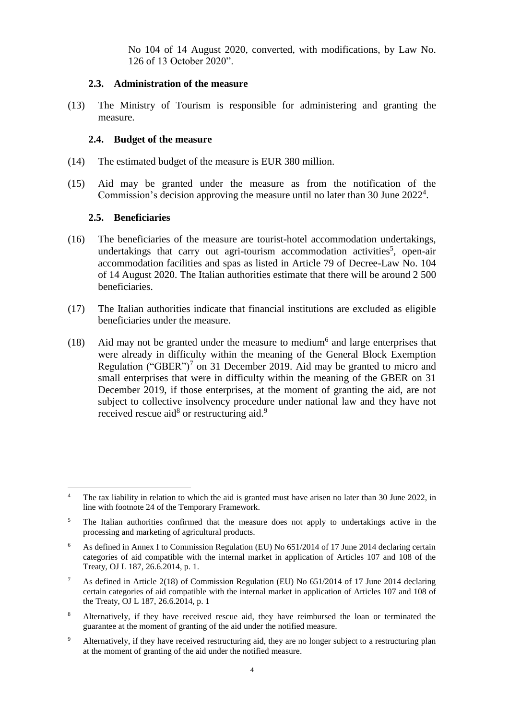No 104 of 14 August 2020, converted, with modifications, by Law No. 126 of 13 October 2020".

#### **2.3. Administration of the measure**

<span id="page-3-1"></span>(13) The Ministry of Tourism is responsible for administering and granting the measure.

## **2.4. Budget of the measure**

- <span id="page-3-2"></span>(14) The estimated budget of the measure is EUR 380 million.
- <span id="page-3-4"></span>(15) Aid may be granted under the measure as from the notification of the Commission's decision approving the measure until no later than 30 June 2022<sup>4</sup>.

#### <span id="page-3-0"></span>**2.5. Beneficiaries**

 $\overline{a}$ 

- (16) The beneficiaries of the measure are tourist-hotel accommodation undertakings, undertakings that carry out agri-tourism accommodation activities<sup>5</sup>, open-air accommodation facilities and spas as listed in Article 79 of Decree-Law No. 104 of 14 August 2020. The Italian authorities estimate that there will be around 2 500 beneficiaries.
- (17) The Italian authorities indicate that financial institutions are excluded as eligible beneficiaries under the measure.
- <span id="page-3-3"></span>(18) Aid may not be granted under the measure to medium<sup>6</sup> and large enterprises that were already in difficulty within the meaning of the General Block Exemption Regulation ("GBER")<sup>7</sup> on 31 December 2019. Aid may be granted to micro and small enterprises that were in difficulty within the meaning of the GBER on 31 December 2019, if those enterprises, at the moment of granting the aid, are not subject to collective insolvency procedure under national law and they have not received rescue aid<sup>8</sup> or restructuring aid.<sup>9</sup>

- <sup>8</sup> Alternatively, if they have received rescue aid, they have reimbursed the loan or terminated the guarantee at the moment of granting of the aid under the notified measure.
- <sup>9</sup> Alternatively, if they have received restructuring aid, they are no longer subject to a restructuring plan at the moment of granting of the aid under the notified measure.

<sup>&</sup>lt;sup>4</sup> The tax liability in relation to which the aid is granted must have arisen no later than 30 June 2022, in line with footnote 24 of the Temporary Framework.

<sup>&</sup>lt;sup>5</sup> The Italian authorities confirmed that the measure does not apply to undertakings active in the processing and marketing of agricultural products.

<sup>&</sup>lt;sup>6</sup> As defined in Annex I to Commission Regulation (EU) No 651/2014 of 17 June 2014 declaring certain categories of aid compatible with the internal market in application of Articles 107 and 108 of the Treaty, OJ L 187, 26.6.2014, p. 1.

<sup>7</sup> As defined in Article 2(18) of Commission Regulation (EU) No 651/2014 of 17 June 2014 declaring certain categories of aid compatible with the internal market in application of Articles 107 and 108 of the Treaty, OJ L 187, 26.6.2014, p. 1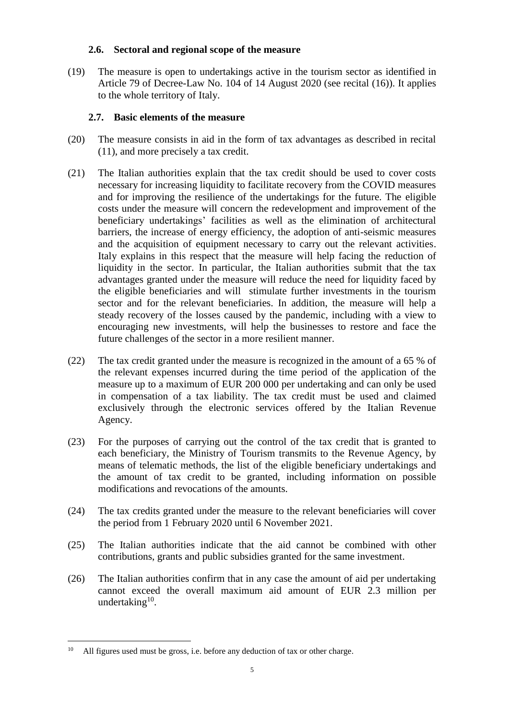## **2.6. Sectoral and regional scope of the measure**

(19) The measure is open to undertakings active in the tourism sector as identified in Article 79 of Decree-Law No. 104 of 14 August 2020 (see recital [\(16\)\)](#page-3-0). It applies to the whole territory of Italy.

# **2.7. Basic elements of the measure**

- (20) The measure consists in aid in the form of tax advantages as described in recital [\(11\),](#page-2-0) and more precisely a tax credit.
- (21) The Italian authorities explain that the tax credit should be used to cover costs necessary for increasing liquidity to facilitate recovery from the COVID measures and for improving the resilience of the undertakings for the future. The eligible costs under the measure will concern the redevelopment and improvement of the beneficiary undertakings' facilities as well as the elimination of architectural barriers, the increase of energy efficiency, the adoption of anti-seismic measures and the acquisition of equipment necessary to carry out the relevant activities. Italy explains in this respect that the measure will help facing the reduction of liquidity in the sector. In particular, the Italian authorities submit that the tax advantages granted under the measure will reduce the need for liquidity faced by the eligible beneficiaries and will stimulate further investments in the tourism sector and for the relevant beneficiaries. In addition, the measure will help a steady recovery of the losses caused by the pandemic, including with a view to encouraging new investments, will help the businesses to restore and face the future challenges of the sector in a more resilient manner.
- (22) The tax credit granted under the measure is recognized in the amount of a 65 % of the relevant expenses incurred during the time period of the application of the measure up to a maximum of EUR 200 000 per undertaking and can only be used in compensation of a tax liability. The tax credit must be used and claimed exclusively through the electronic services offered by the Italian Revenue Agency.
- (23) For the purposes of carrying out the control of the tax credit that is granted to each beneficiary, the Ministry of Tourism transmits to the Revenue Agency, by means of telematic methods, the list of the eligible beneficiary undertakings and the amount of tax credit to be granted, including information on possible modifications and revocations of the amounts.
- (24) The tax credits granted under the measure to the relevant beneficiaries will cover the period from 1 February 2020 until 6 November 2021.
- (25) The Italian authorities indicate that the aid cannot be combined with other contributions, grants and public subsidies granted for the same investment.
- <span id="page-4-0"></span>(26) The Italian authorities confirm that in any case the amount of aid per undertaking cannot exceed the overall maximum aid amount of EUR 2.3 million per undertaking<sup>10</sup>.

 $10<sup>10</sup>$ All figures used must be gross, i.e. before any deduction of tax or other charge.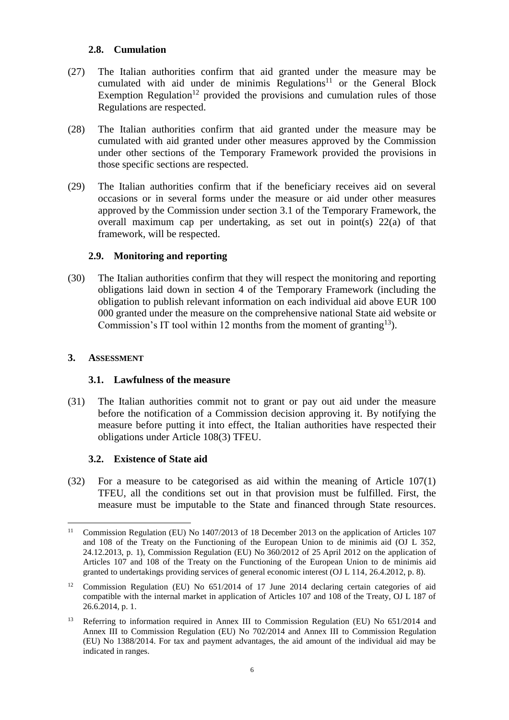# **2.8. Cumulation**

- <span id="page-5-1"></span>(27) The Italian authorities confirm that aid granted under the measure may be cumulated with aid under de minimis  $Regulations<sup>11</sup>$  or the General Block Exemption Regulation<sup>12</sup> provided the provisions and cumulation rules of those Regulations are respected.
- (28) The Italian authorities confirm that aid granted under the measure may be cumulated with aid granted under other measures approved by the Commission under other sections of the Temporary Framework provided the provisions in those specific sections are respected.
- (29) The Italian authorities confirm that if the beneficiary receives aid on several occasions or in several forms under the measure or aid under other measures approved by the Commission under section 3.1 of the Temporary Framework, the overall maximum cap per undertaking, as set out in point(s) 22(a) of that framework, will be respected.

## **2.9. Monitoring and reporting**

<span id="page-5-0"></span>(30) The Italian authorities confirm that they will respect the monitoring and reporting obligations laid down in section 4 of the Temporary Framework (including the obligation to publish relevant information on each individual aid above EUR 100 000 granted under the measure on the comprehensive national State aid website or Commission's IT tool within 12 months from the moment of granting<sup>13</sup>).

## **3. ASSESSMENT**

# **3.1. Lawfulness of the measure**

(31) The Italian authorities commit not to grant or pay out aid under the measure before the notification of a Commission decision approving it. By notifying the measure before putting it into effect, the Italian authorities have respected their obligations under Article 108(3) TFEU.

# **3.2. Existence of State aid**

(32) For a measure to be categorised as aid within the meaning of Article 107(1) TFEU, all the conditions set out in that provision must be fulfilled. First, the measure must be imputable to the State and financed through State resources.

 $\overline{a}$ <sup>11</sup> Commission Regulation (EU) No 1407/2013 of 18 December 2013 on the application of Articles 107 and 108 of the Treaty on the Functioning of the European Union to de minimis aid (OJ L 352, 24.12.2013, p. 1), Commission Regulation (EU) No 360/2012 of 25 April 2012 on the application of Articles 107 and 108 of the Treaty on the Functioning of the European Union to de minimis aid granted to undertakings providing services of general economic interest (OJ L 114, 26.4.2012, p. 8).

<sup>&</sup>lt;sup>12</sup> Commission Regulation (EU) No 651/2014 of 17 June 2014 declaring certain categories of aid compatible with the internal market in application of Articles 107 and 108 of the Treaty, OJ L 187 of 26.6.2014, p. 1.

<sup>&</sup>lt;sup>13</sup> Referring to information required in Annex III to Commission Regulation (EU) No 651/2014 and Annex III to Commission Regulation (EU) No 702/2014 and Annex III to Commission Regulation (EU) No 1388/2014. For tax and payment advantages, the aid amount of the individual aid may be indicated in ranges.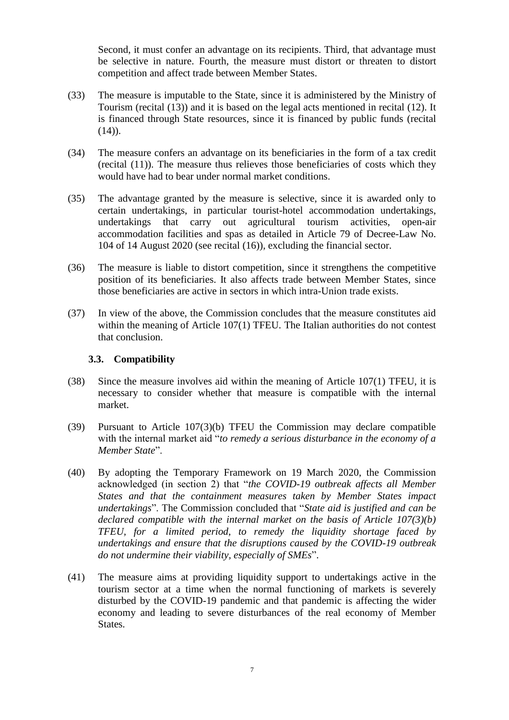Second, it must confer an advantage on its recipients. Third, that advantage must be selective in nature. Fourth, the measure must distort or threaten to distort competition and affect trade between Member States.

- (33) The measure is imputable to the State, since it is administered by the Ministry of Tourism (recital [\(13\)\)](#page-3-1) and it is based on the legal acts mentioned in recital [\(12\).](#page-2-1) It is financed through State resources, since it is financed by public funds (recital  $(14)$ .
- (34) The measure confers an advantage on its beneficiaries in the form of a tax credit (recital [\(11\)\)](#page-2-0). The measure thus relieves those beneficiaries of costs which they would have had to bear under normal market conditions.
- (35) The advantage granted by the measure is selective, since it is awarded only to certain undertakings, in particular tourist-hotel accommodation undertakings, undertakings that carry out agricultural tourism activities, open-air accommodation facilities and spas as detailed in Article 79 of Decree-Law No. 104 of 14 August 2020 (see recital [\(16\)\)](#page-3-0), excluding the financial sector.
- (36) The measure is liable to distort competition, since it strengthens the competitive position of its beneficiaries. It also affects trade between Member States, since those beneficiaries are active in sectors in which intra-Union trade exists.
- (37) In view of the above, the Commission concludes that the measure constitutes aid within the meaning of Article 107(1) TFEU. The Italian authorities do not contest that conclusion.

#### **3.3. Compatibility**

- (38) Since the measure involves aid within the meaning of Article 107(1) TFEU, it is necessary to consider whether that measure is compatible with the internal market.
- (39) Pursuant to Article 107(3)(b) TFEU the Commission may declare compatible with the internal market aid "*to remedy a serious disturbance in the economy of a Member State*".
- (40) By adopting the Temporary Framework on 19 March 2020, the Commission acknowledged (in section 2) that "*the COVID-19 outbreak affects all Member States and that the containment measures taken by Member States impact undertakings*". The Commission concluded that "*State aid is justified and can be declared compatible with the internal market on the basis of Article 107(3)(b) TFEU, for a limited period, to remedy the liquidity shortage faced by undertakings and ensure that the disruptions caused by the COVID-19 outbreak do not undermine their viability, especially of SMEs*".
- (41) The measure aims at providing liquidity support to undertakings active in the tourism sector at a time when the normal functioning of markets is severely disturbed by the COVID-19 pandemic and that pandemic is affecting the wider economy and leading to severe disturbances of the real economy of Member States.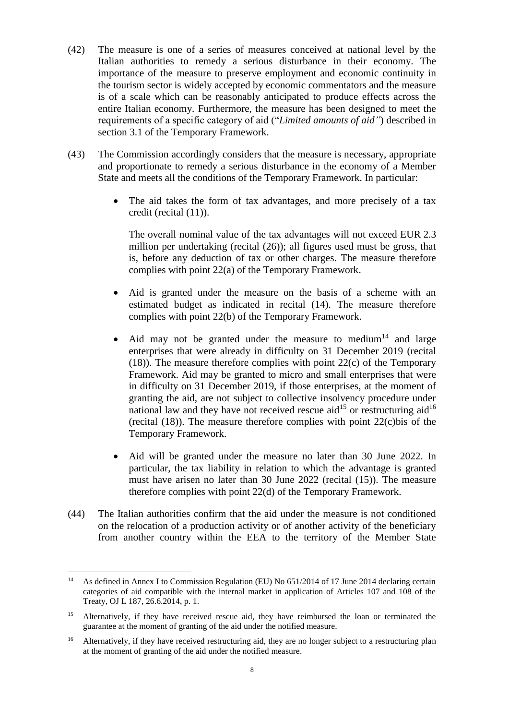- (42) The measure is one of a series of measures conceived at national level by the Italian authorities to remedy a serious disturbance in their economy. The importance of the measure to preserve employment and economic continuity in the tourism sector is widely accepted by economic commentators and the measure is of a scale which can be reasonably anticipated to produce effects across the entire Italian economy. Furthermore, the measure has been designed to meet the requirements of a specific category of aid ("*Limited amounts of aid"*) described in section 3.1 of the Temporary Framework.
- (43) The Commission accordingly considers that the measure is necessary, appropriate and proportionate to remedy a serious disturbance in the economy of a Member State and meets all the conditions of the Temporary Framework. In particular:
	- The aid takes the form of tax advantages, and more precisely of a tax credit (recital [\(11\)\)](#page-2-0).

The overall nominal value of the tax advantages will not exceed EUR 2.3 million per undertaking (recital [\(26\)\)](#page-4-0); all figures used must be gross, that is, before any deduction of tax or other charges. The measure therefore complies with point 22(a) of the Temporary Framework.

- Aid is granted under the measure on the basis of a scheme with an estimated budget as indicated in recital [\(14\).](#page-3-2) The measure therefore complies with point 22(b) of the Temporary Framework.
- Aid may not be granted under the measure to medium<sup>14</sup> and large enterprises that were already in difficulty on 31 December 2019 (recital [\(18\)\)](#page-3-3). The measure therefore complies with point 22(c) of the Temporary Framework. Aid may be granted to micro and small enterprises that were in difficulty on 31 December 2019, if those enterprises, at the moment of granting the aid, are not subject to collective insolvency procedure under national law and they have not received rescue aid<sup>15</sup> or restructuring aid<sup>16</sup> (recital  $(18)$ ). The measure therefore complies with point 22 $(c)$  bis of the Temporary Framework.
- Aid will be granted under the measure no later than 30 June 2022. In particular, the tax liability in relation to which the advantage is granted must have arisen no later than 30 June 2022 (recital [\(15\)\)](#page-3-4). The measure therefore complies with point 22(d) of the Temporary Framework.
- (44) The Italian authorities confirm that the aid under the measure is not conditioned on the relocation of a production activity or of another activity of the beneficiary from another country within the EEA to the territory of the Member State

 $\overline{a}$ 

<sup>&</sup>lt;sup>14</sup> As defined in Annex I to Commission Regulation (EU) No 651/2014 of 17 June 2014 declaring certain categories of aid compatible with the internal market in application of Articles 107 and 108 of the Treaty, OJ L 187, 26.6.2014, p. 1.

<sup>&</sup>lt;sup>15</sup> Alternatively, if they have received rescue aid, they have reimbursed the loan or terminated the guarantee at the moment of granting of the aid under the notified measure.

<sup>&</sup>lt;sup>16</sup> Alternatively, if they have received restructuring aid, they are no longer subject to a restructuring plan at the moment of granting of the aid under the notified measure.